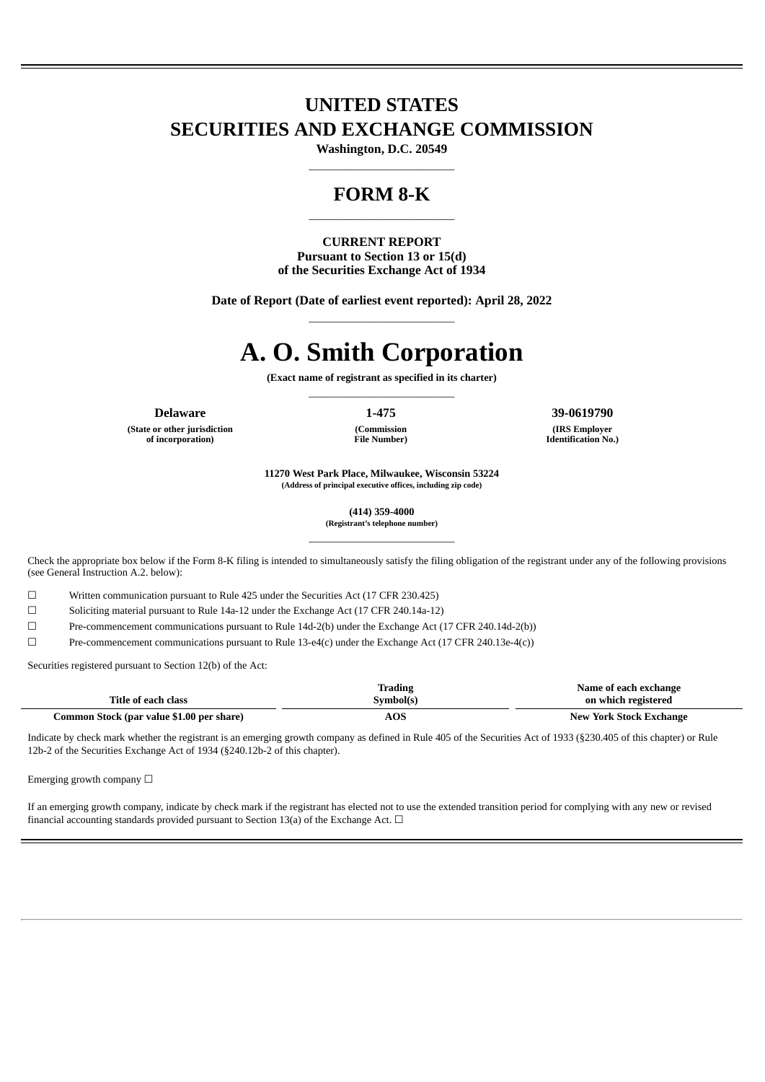# **UNITED STATES SECURITIES AND EXCHANGE COMMISSION**

**Washington, D.C. 20549** ——————————————

## **FORM 8-K**

**CURRENT REPORT Pursuant to Section 13 or 15(d) of the Securities Exchange Act of 1934**

——————————————

**Date of Report (Date of earliest event reported): April 28, 2022** ——————————————

# **A. O. Smith Corporation**

**(Exact name of registrant as specified in its charter)** ——————————————

**(State or other jurisdiction of incorporation)**

**Delaware 1-475 39-0619790**

**(IRS Employer Identification No.)**

**11270 West Park Place, Milwaukee, Wisconsin 53224 (Address of principal executive offices, including zip code)**

**(Commission File Number)**

**(414) 359-4000**

**(Registrant's telephone number)** ——————————————

Check the appropriate box below if the Form 8-K filing is intended to simultaneously satisfy the filing obligation of the registrant under any of the following provisions (see General Instruction A.2. below):

☐ Written communication pursuant to Rule 425 under the Securities Act (17 CFR 230.425)

☐ Soliciting material pursuant to Rule 14a-12 under the Exchange Act (17 CFR 240.14a-12)

☐ Pre-commencement communications pursuant to Rule 14d-2(b) under the Exchange Act (17 CFR 240.14d-2(b))

☐ Pre-commencement communications pursuant to Rule 13-e4(c) under the Exchange Act (17 CFR 240.13e-4(c))

Securities registered pursuant to Section 12(b) of the Act:

|                                           | Trading   | Name of each exchange          |
|-------------------------------------------|-----------|--------------------------------|
| Title of each class                       | Symbol(s) | on which registered            |
| Common Stock (par value \$1.00 per share) | AOS       | <b>New York Stock Exchange</b> |

Indicate by check mark whether the registrant is an emerging growth company as defined in Rule 405 of the Securities Act of 1933 (§230.405 of this chapter) or Rule 12b-2 of the Securities Exchange Act of 1934 (§240.12b-2 of this chapter).

Emerging growth company  $\Box$ 

If an emerging growth company, indicate by check mark if the registrant has elected not to use the extended transition period for complying with any new or revised financial accounting standards provided pursuant to Section 13(a) of the Exchange Act.  $\Box$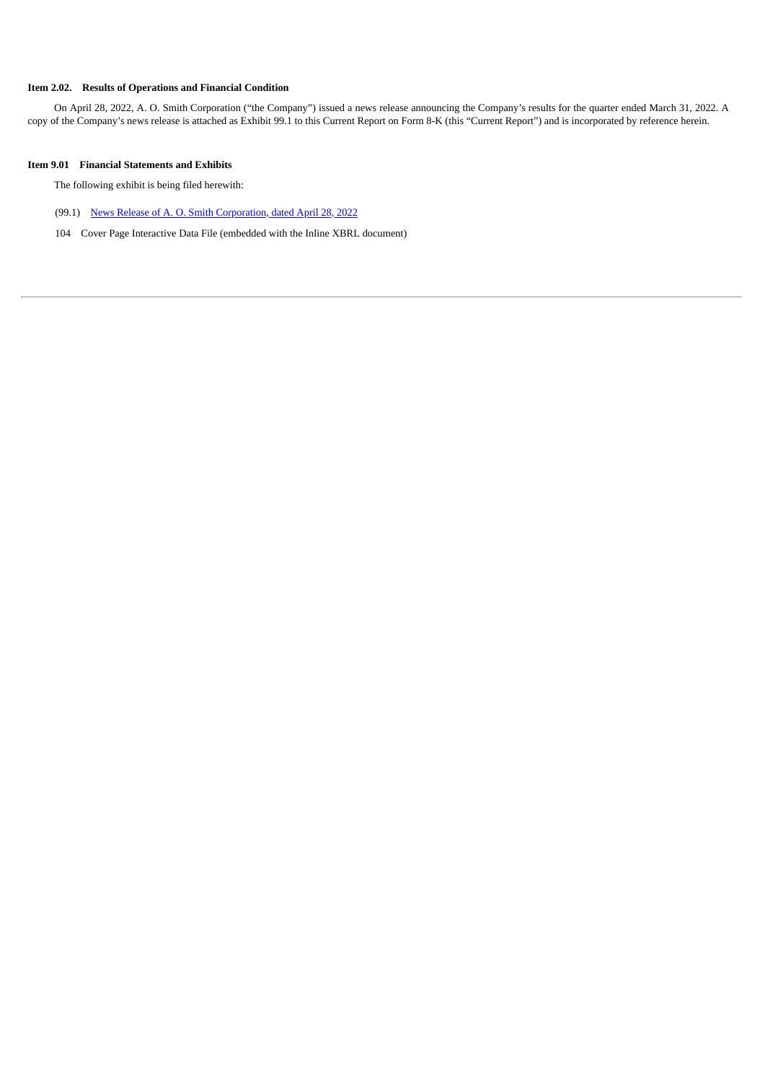#### **Item 2.02. Results of Operations and Financial Condition**

On April 28, 2022, A. O. Smith Corporation ("the Company") issued a news release announcing the Company's results for the quarter ended March 31, 2022. A copy of the Company's news release is attached as Exhibit 99.1 to this Current Report on Form 8-K (this "Current Report") and is incorporated by reference herein.

#### **Item 9.01 Financial Statements and Exhibits**

The following exhibit is being filed herewith:

- (99.1) [News Release of A. O. Smith Corporation, dated April 28, 2022](#page-3-0)
- 104 Cover Page Interactive Data File (embedded with the Inline XBRL document)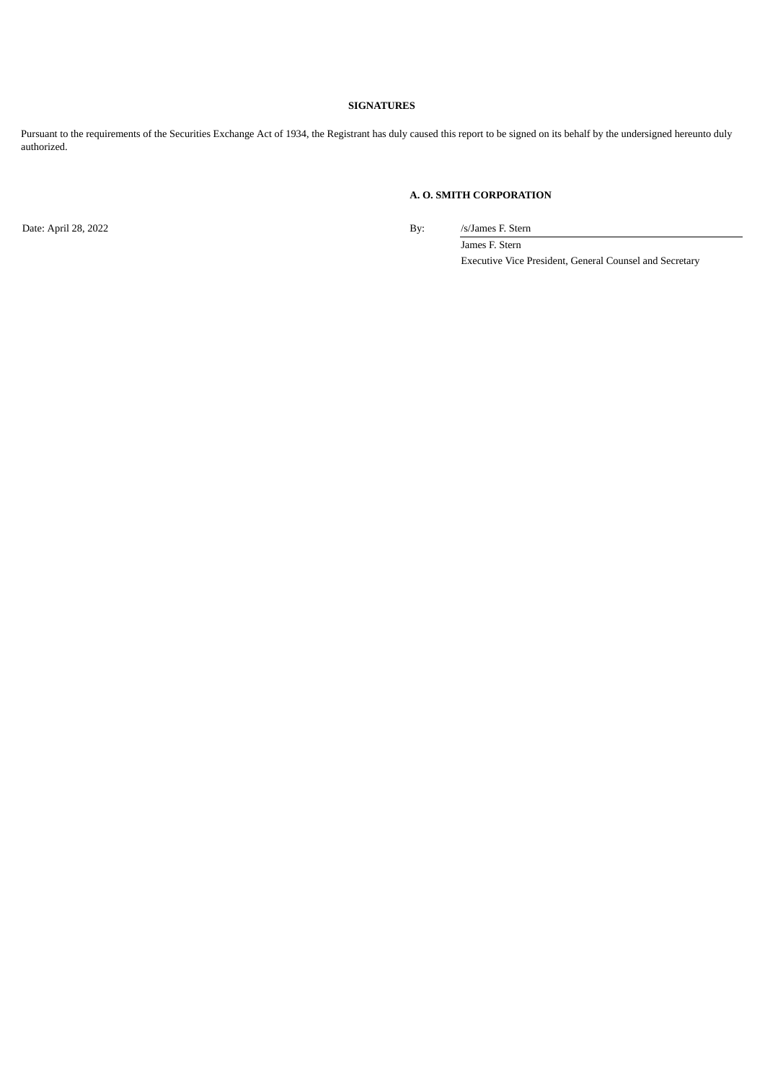#### **SIGNATURES**

Pursuant to the requirements of the Securities Exchange Act of 1934, the Registrant has duly caused this report to be signed on its behalf by the undersigned hereunto duly authorized.

#### **A. O. SMITH CORPORATION**

Date: April 28, 2022 By: /s/James F. Stern

James F. Stern Executive Vice President, General Counsel and Secretary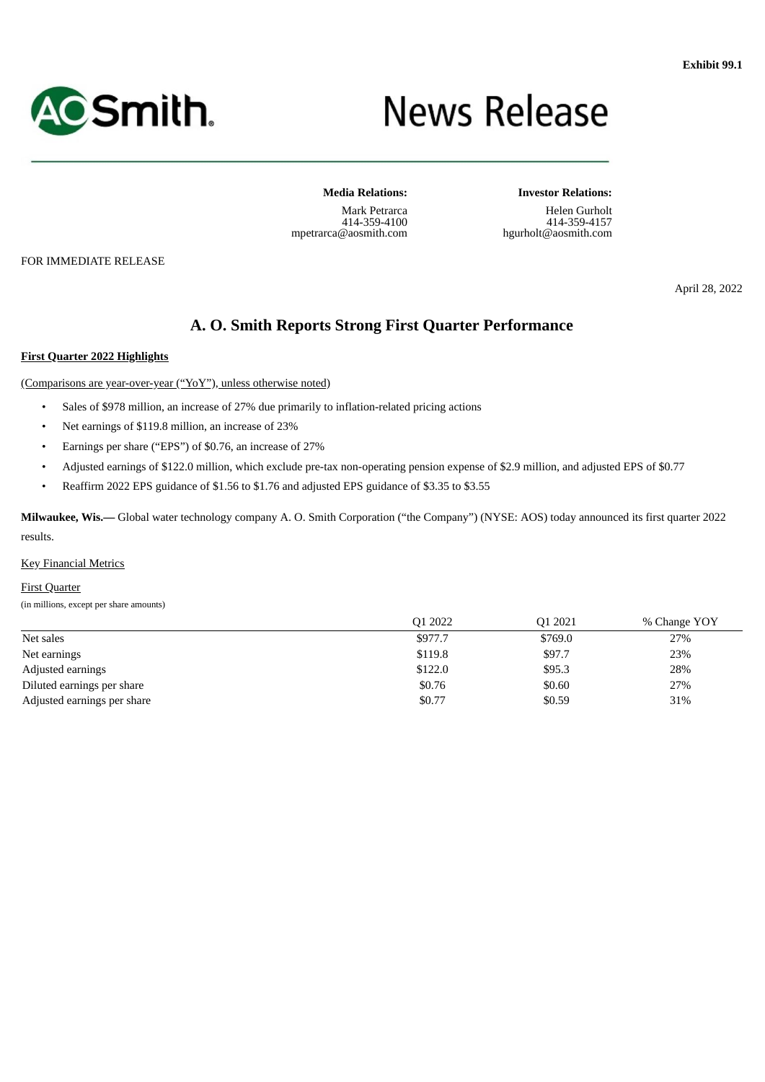<span id="page-3-0"></span>

# **News Release**

**Media Relations:** Mark Petrarca 414-359-4100 mpetrarca@aosmith.com

FOR IMMEDIATE RELEASE

**Investor Relations:**

Helen Gurholt 414-359-4157 hgurholt@aosmith.com

April 28, 2022

### **A. O. Smith Reports Strong First Quarter Performance**

#### **First Quarter 2022 Highlights**

(Comparisons are year-over-year ("YoY"), unless otherwise noted)

- Sales of \$978 million, an increase of 27% due primarily to inflation-related pricing actions
- Net earnings of \$119.8 million, an increase of 23%
- Earnings per share ("EPS") of \$0.76, an increase of 27%
- Adjusted earnings of \$122.0 million, which exclude pre-tax non-operating pension expense of \$2.9 million, and adjusted EPS of \$0.77
- Reaffirm 2022 EPS guidance of \$1.56 to \$1.76 and adjusted EPS guidance of \$3.35 to \$3.55

**Milwaukee, Wis.—** Global water technology company A. O. Smith Corporation ("the Company") (NYSE: AOS) today announced its first quarter 2022 results.

#### Key Financial Metrics

#### First Quarter

(in millions, except per share amounts)

|                             | Q1 2022 | Q1 2021 | % Change YOY |
|-----------------------------|---------|---------|--------------|
| Net sales                   | \$977.7 | \$769.0 | 27%          |
| Net earnings                | \$119.8 | \$97.7  | 23%          |
| Adjusted earnings           | \$122.0 | \$95.3  | 28%          |
| Diluted earnings per share  | \$0.76  | \$0.60  | 27%          |
| Adjusted earnings per share | \$0.77  | \$0.59  | 31%          |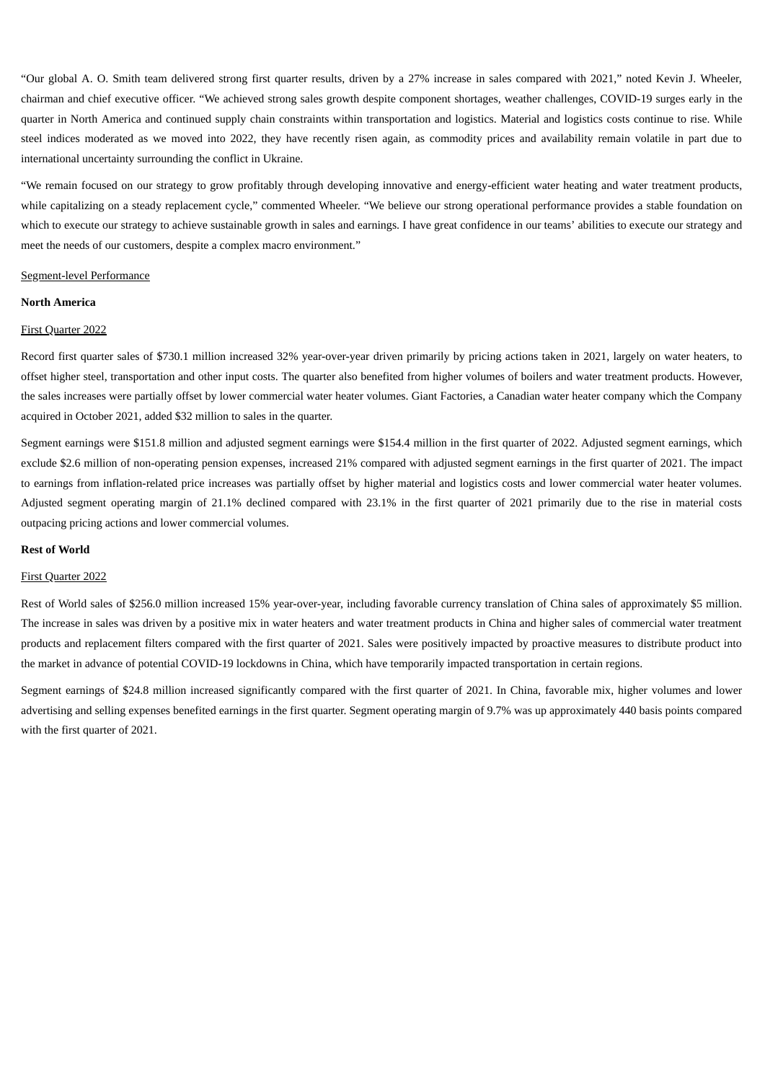"Our global A. O. Smith team delivered strong first quarter results, driven by a 27% increase in sales compared with 2021," noted Kevin J. Wheeler, chairman and chief executive officer. "We achieved strong sales growth despite component shortages, weather challenges, COVID-19 surges early in the quarter in North America and continued supply chain constraints within transportation and logistics. Material and logistics costs continue to rise. While steel indices moderated as we moved into 2022, they have recently risen again, as commodity prices and availability remain volatile in part due to international uncertainty surrounding the conflict in Ukraine.

"We remain focused on our strategy to grow profitably through developing innovative and energy-efficient water heating and water treatment products, while capitalizing on a steady replacement cycle," commented Wheeler. "We believe our strong operational performance provides a stable foundation on which to execute our strategy to achieve sustainable growth in sales and earnings. I have great confidence in our teams' abilities to execute our strategy and meet the needs of our customers, despite a complex macro environment."

#### Segment-level Performance

#### **North America**

#### First Quarter 2022

Record first quarter sales of \$730.1 million increased 32% year-over-year driven primarily by pricing actions taken in 2021, largely on water heaters, to offset higher steel, transportation and other input costs. The quarter also benefited from higher volumes of boilers and water treatment products. However, the sales increases were partially offset by lower commercial water heater volumes. Giant Factories, a Canadian water heater company which the Company acquired in October 2021, added \$32 million to sales in the quarter.

Segment earnings were \$151.8 million and adjusted segment earnings were \$154.4 million in the first quarter of 2022. Adjusted segment earnings, which exclude \$2.6 million of non-operating pension expenses, increased 21% compared with adjusted segment earnings in the first quarter of 2021. The impact to earnings from inflation-related price increases was partially offset by higher material and logistics costs and lower commercial water heater volumes. Adjusted segment operating margin of 21.1% declined compared with 23.1% in the first quarter of 2021 primarily due to the rise in material costs outpacing pricing actions and lower commercial volumes.

#### **Rest of World**

#### First Quarter 2022

Rest of World sales of \$256.0 million increased 15% year-over-year, including favorable currency translation of China sales of approximately \$5 million. The increase in sales was driven by a positive mix in water heaters and water treatment products in China and higher sales of commercial water treatment products and replacement filters compared with the first quarter of 2021. Sales were positively impacted by proactive measures to distribute product into the market in advance of potential COVID-19 lockdowns in China, which have temporarily impacted transportation in certain regions.

Segment earnings of \$24.8 million increased significantly compared with the first quarter of 2021. In China, favorable mix, higher volumes and lower advertising and selling expenses benefited earnings in the first quarter. Segment operating margin of 9.7% was up approximately 440 basis points compared with the first quarter of 2021.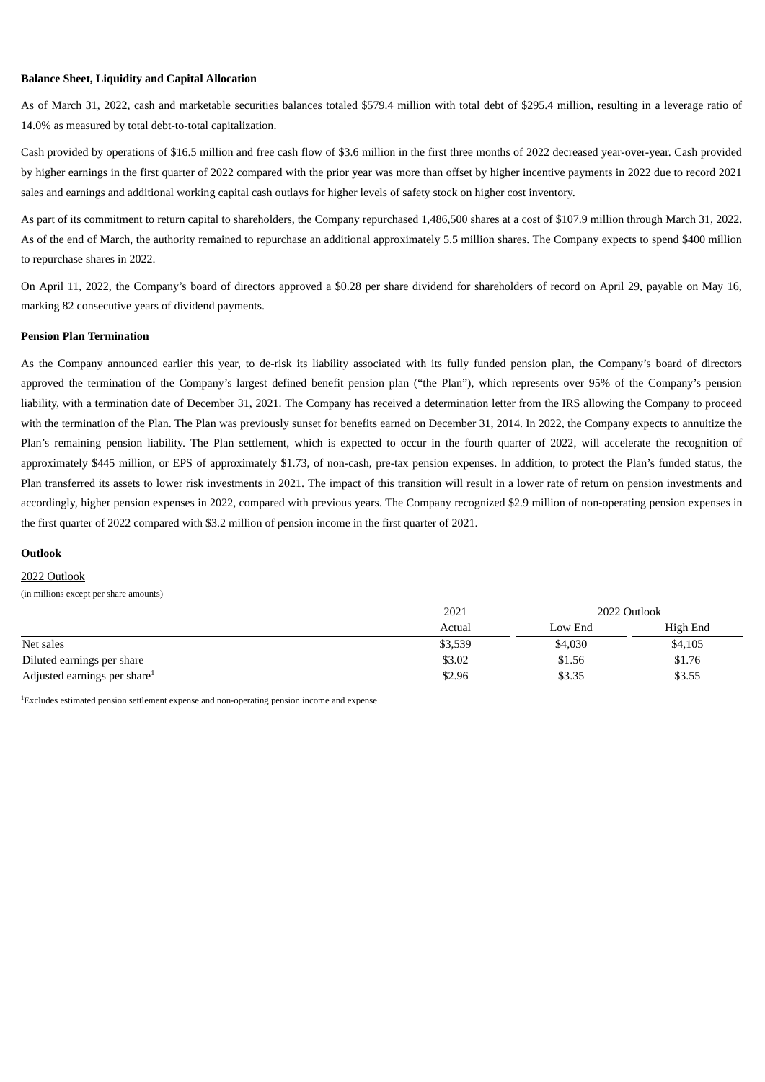#### **Balance Sheet, Liquidity and Capital Allocation**

As of March 31, 2022, cash and marketable securities balances totaled \$579.4 million with total debt of \$295.4 million, resulting in a leverage ratio of 14.0% as measured by total debt-to-total capitalization.

Cash provided by operations of \$16.5 million and free cash flow of \$3.6 million in the first three months of 2022 decreased year-over-year. Cash provided by higher earnings in the first quarter of 2022 compared with the prior year was more than offset by higher incentive payments in 2022 due to record 2021 sales and earnings and additional working capital cash outlays for higher levels of safety stock on higher cost inventory.

As part of its commitment to return capital to shareholders, the Company repurchased 1,486,500 shares at a cost of \$107.9 million through March 31, 2022. As of the end of March, the authority remained to repurchase an additional approximately 5.5 million shares. The Company expects to spend \$400 million to repurchase shares in 2022.

On April 11, 2022, the Company's board of directors approved a \$0.28 per share dividend for shareholders of record on April 29, payable on May 16, marking 82 consecutive years of dividend payments.

#### **Pension Plan Termination**

As the Company announced earlier this year, to de-risk its liability associated with its fully funded pension plan, the Company's board of directors approved the termination of the Company's largest defined benefit pension plan ("the Plan"), which represents over 95% of the Company's pension liability, with a termination date of December 31, 2021. The Company has received a determination letter from the IRS allowing the Company to proceed with the termination of the Plan. The Plan was previously sunset for benefits earned on December 31, 2014. In 2022, the Company expects to annuitize the Plan's remaining pension liability. The Plan settlement, which is expected to occur in the fourth quarter of 2022, will accelerate the recognition of approximately \$445 million, or EPS of approximately \$1.73, of non-cash, pre-tax pension expenses. In addition, to protect the Plan's funded status, the Plan transferred its assets to lower risk investments in 2021. The impact of this transition will result in a lower rate of return on pension investments and accordingly, higher pension expenses in 2022, compared with previous years. The Company recognized \$2.9 million of non-operating pension expenses in the first quarter of 2022 compared with \$3.2 million of pension income in the first quarter of 2021.

#### **Outlook**

#### 2022 Outlook

(in millions except per share amounts)

|                                          | 2021    |         | 2022 Outlook |
|------------------------------------------|---------|---------|--------------|
|                                          | Actual  | Low End | High End     |
| Net sales                                | \$3,539 | \$4,030 | \$4,105      |
| Diluted earnings per share               | \$3.02  | \$1.56  | \$1.76       |
| Adjusted earnings per share <sup>1</sup> | \$2.96  | \$3.35  | \$3.55       |

Excludes estimated pension settlement expense and non-operating pension income and expense 1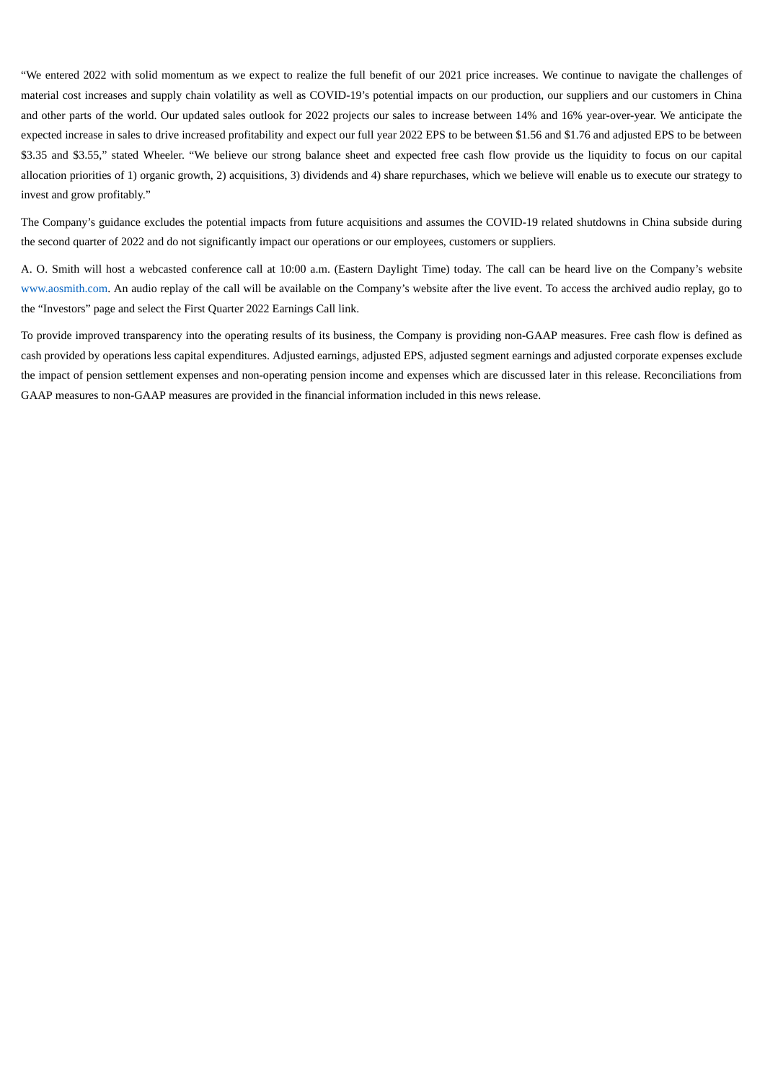"We entered 2022 with solid momentum as we expect to realize the full benefit of our 2021 price increases. We continue to navigate the challenges of material cost increases and supply chain volatility as well as COVID-19's potential impacts on our production, our suppliers and our customers in China and other parts of the world. Our updated sales outlook for 2022 projects our sales to increase between 14% and 16% year-over-year. We anticipate the expected increase in sales to drive increased profitability and expect our full year 2022 EPS to be between \$1.56 and \$1.76 and adjusted EPS to be between \$3.35 and \$3.55," stated Wheeler. "We believe our strong balance sheet and expected free cash flow provide us the liquidity to focus on our capital allocation priorities of 1) organic growth, 2) acquisitions, 3) dividends and 4) share repurchases, which we believe will enable us to execute our strategy to invest and grow profitably."

The Company's guidance excludes the potential impacts from future acquisitions and assumes the COVID-19 related shutdowns in China subside during the second quarter of 2022 and do not significantly impact our operations or our employees, customers or suppliers.

A. O. Smith will host a webcasted conference call at 10:00 a.m. (Eastern Daylight Time) today. The call can be heard live on the Company's website www.aosmith.com. An audio replay of the call will be available on the Company's website after the live event. To access the archived audio replay, go to the "Investors" page and select the First Quarter 2022 Earnings Call link.

To provide improved transparency into the operating results of its business, the Company is providing non-GAAP measures. Free cash flow is defined as cash provided by operations less capital expenditures. Adjusted earnings, adjusted EPS, adjusted segment earnings and adjusted corporate expenses exclude the impact of pension settlement expenses and non-operating pension income and expenses which are discussed later in this release. Reconciliations from GAAP measures to non-GAAP measures are provided in the financial information included in this news release.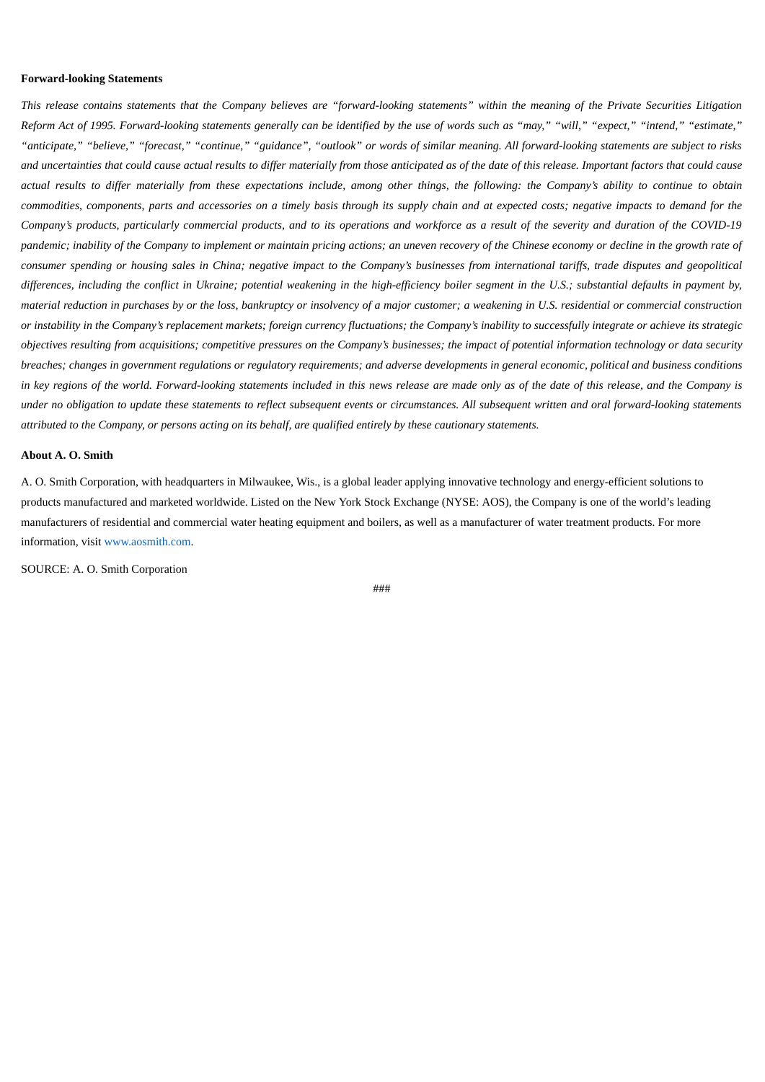#### **Forward-looking Statements**

This release contains statements that the Company believes are "forward-looking statements" within the meaning of the Private Securities Litiqation Reform Act of 1995. Forward-looking statements generally can be identified by the use of words such as "may," "will," "expect," "intend," "estimate," "anticipate," "believe," "forecast," "continue," "guidance", "outlook" or words of similar meaning. All forward-looking statements are subject to risks and uncertainties that could cause actual results to differ materially from those anticipated as of the date of this release. Important factors that could cause actual results to differ materially from these expectations include, among other things, the following: the Company's ability to continue to obtain commodities, components, parts and accessories on a timely basis through its supply chain and at expected costs; negative impacts to demand for the Company's products, particularly commercial products, and to its operations and workforce as a result of the severity and duration of the COVID-19 pandemic; inability of the Company to implement or maintain pricing actions; an uneven recovery of the Chinese economy or decline in the growth rate of consumer spending or housing sales in China; negative impact to the Company's businesses from international tariffs, trade disputes and geopolitical differences, including the conflict in Ukraine; potential weakening in the high-efficiency boiler segment in the U.S.; substantial defaults in payment by, material reduction in purchases by or the loss, bankruptcy or insolvency of a major customer; a weakening in U.S. residential or commercial construction or instability in the Company's replacement markets; foreign currency fluctuations; the Company's inability to successfully integrate or achieve its strategic objectives resulting from acquisitions; competitive pressures on the Company's businesses; the impact of potential information technology or data security breaches; changes in government regulations or regulatory requirements; and adverse developments in general economic, political and business conditions in key regions of the world. Forward-looking statements included in this news release are made only as of the date of this release, and the Company is under no obligation to update these statements to reflect subsequent events or circumstances. All subsequent written and oral forward-looking statements attributed to the Company, or persons acting on its behalf, are qualified entirely by these cautionary statements.

#### **About A. O. Smith**

A. O. Smith Corporation, with headquarters in Milwaukee, Wis., is a global leader applying innovative technology and energy-efficient solutions to products manufactured and marketed worldwide. Listed on the New York Stock Exchange (NYSE: AOS), the Company is one of the world's leading manufacturers of residential and commercial water heating equipment and boilers, as well as a manufacturer of water treatment products. For more information, visit www.aosmith.com.

SOURCE: A. O. Smith Corporation

###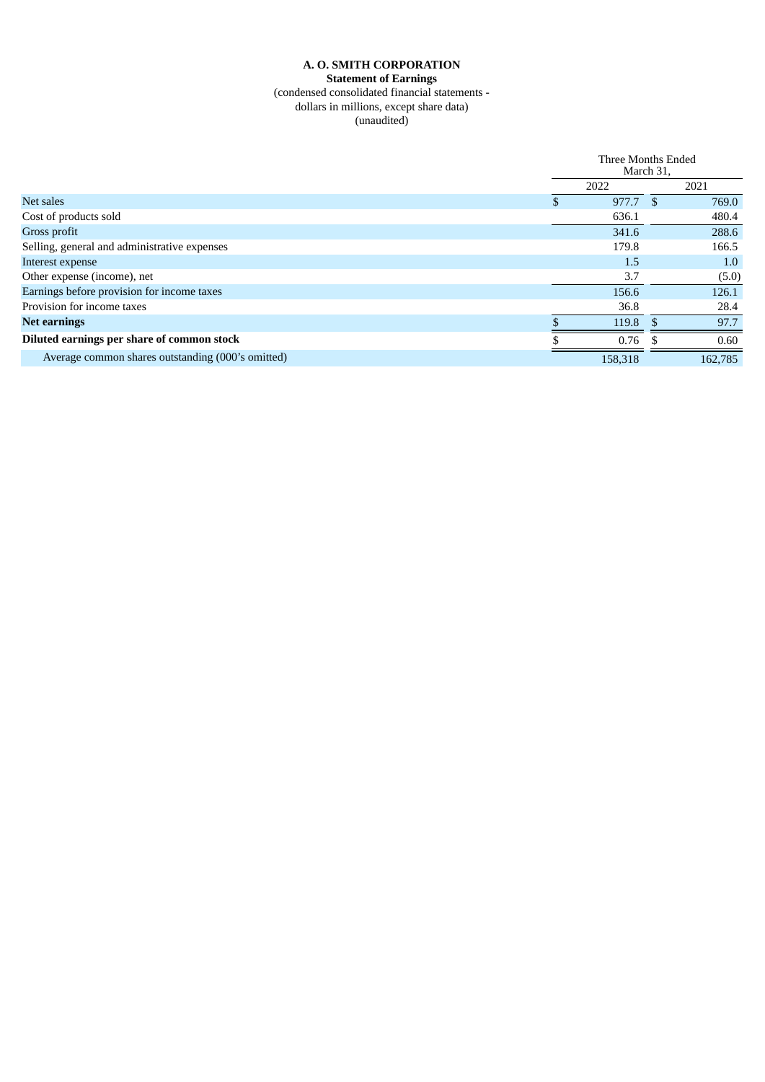#### **A. O. SMITH CORPORATION Statement of Earnings** (condensed consolidated financial statements dollars in millions, except share data) (unaudited)

|                                                   |    | Three Months Ended<br>March 31, |  |         |
|---------------------------------------------------|----|---------------------------------|--|---------|
|                                                   |    | 2022                            |  | 2021    |
| Net sales                                         | Эb | 977.7                           |  | 769.0   |
| Cost of products sold                             |    | 636.1                           |  | 480.4   |
| Gross profit                                      |    | 341.6                           |  | 288.6   |
| Selling, general and administrative expenses      |    | 179.8                           |  | 166.5   |
| Interest expense                                  |    | 1.5                             |  | 1.0     |
| Other expense (income), net                       |    | 3.7                             |  | (5.0)   |
| Earnings before provision for income taxes        |    | 156.6                           |  | 126.1   |
| Provision for income taxes                        |    | 36.8                            |  | 28.4    |
| <b>Net earnings</b>                               |    | 119.8                           |  | 97.7    |
| Diluted earnings per share of common stock        |    | 0.76                            |  | 0.60    |
| Average common shares outstanding (000's omitted) |    | 158,318                         |  | 162,785 |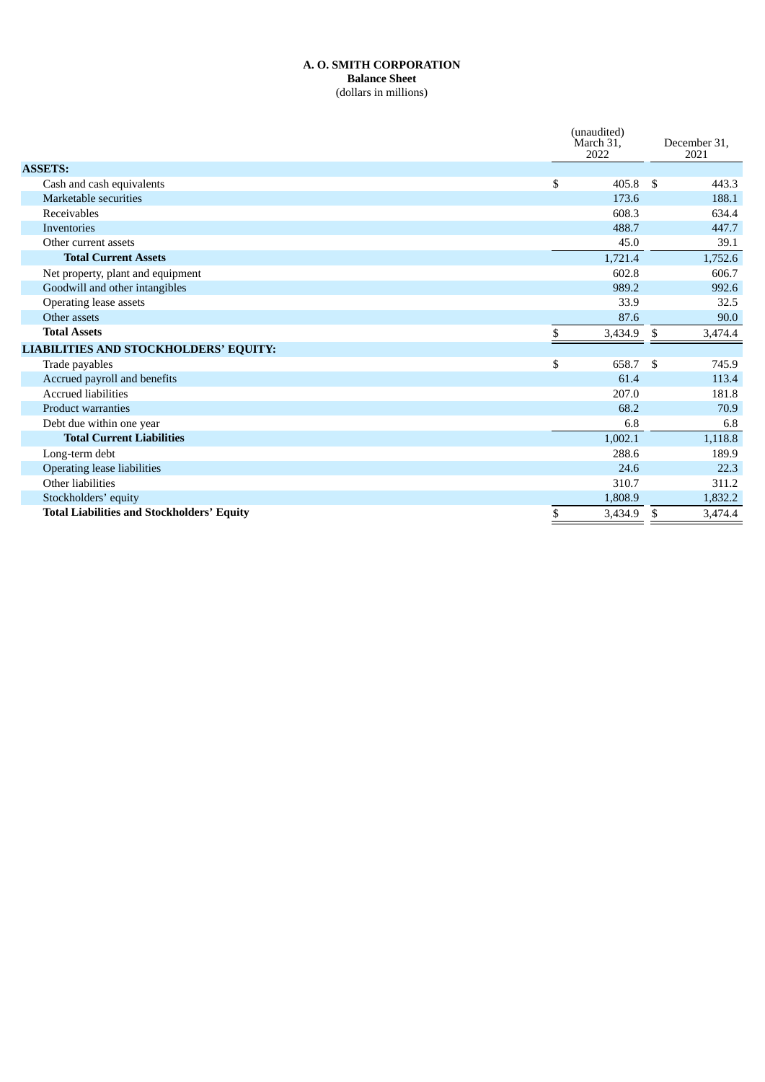#### **A. O. SMITH CORPORATION Balance Sheet** (dollars in millions)

|                                                   | (unaudited)<br>March 31.<br>2022 |     | December 31.<br>2021 |
|---------------------------------------------------|----------------------------------|-----|----------------------|
| <b>ASSETS:</b>                                    |                                  |     |                      |
| Cash and cash equivalents                         | \$<br>405.8                      | -\$ | 443.3                |
| Marketable securities                             | 173.6                            |     | 188.1                |
| Receivables                                       | 608.3                            |     | 634.4                |
| <b>Inventories</b>                                | 488.7                            |     | 447.7                |
| Other current assets                              | 45.0                             |     | 39.1                 |
| <b>Total Current Assets</b>                       | 1,721.4                          |     | 1,752.6              |
| Net property, plant and equipment                 | 602.8                            |     | 606.7                |
| Goodwill and other intangibles                    | 989.2                            |     | 992.6                |
| Operating lease assets                            | 33.9                             |     | 32.5                 |
| Other assets                                      | 87.6                             |     | 90.0                 |
| <b>Total Assets</b>                               | \$<br>3,434.9                    | \$  | 3,474.4              |
| LIABILITIES AND STOCKHOLDERS' EQUITY:             |                                  |     |                      |
| Trade payables                                    | \$<br>658.7                      | \$  | 745.9                |
| Accrued payroll and benefits                      | 61.4                             |     | 113.4                |
| <b>Accrued liabilities</b>                        | 207.0                            |     | 181.8                |
| <b>Product warranties</b>                         | 68.2                             |     | 70.9                 |
| Debt due within one year                          | 6.8                              |     | 6.8                  |
| <b>Total Current Liabilities</b>                  | 1,002.1                          |     | 1,118.8              |
| Long-term debt                                    | 288.6                            |     | 189.9                |
| <b>Operating lease liabilities</b>                | 24.6                             |     | 22.3                 |
| Other liabilities                                 | 310.7                            |     | 311.2                |
| Stockholders' equity                              | 1,808.9                          |     | 1,832.2              |
| <b>Total Liabilities and Stockholders' Equity</b> | \$<br>3,434.9                    | \$  | 3,474.4              |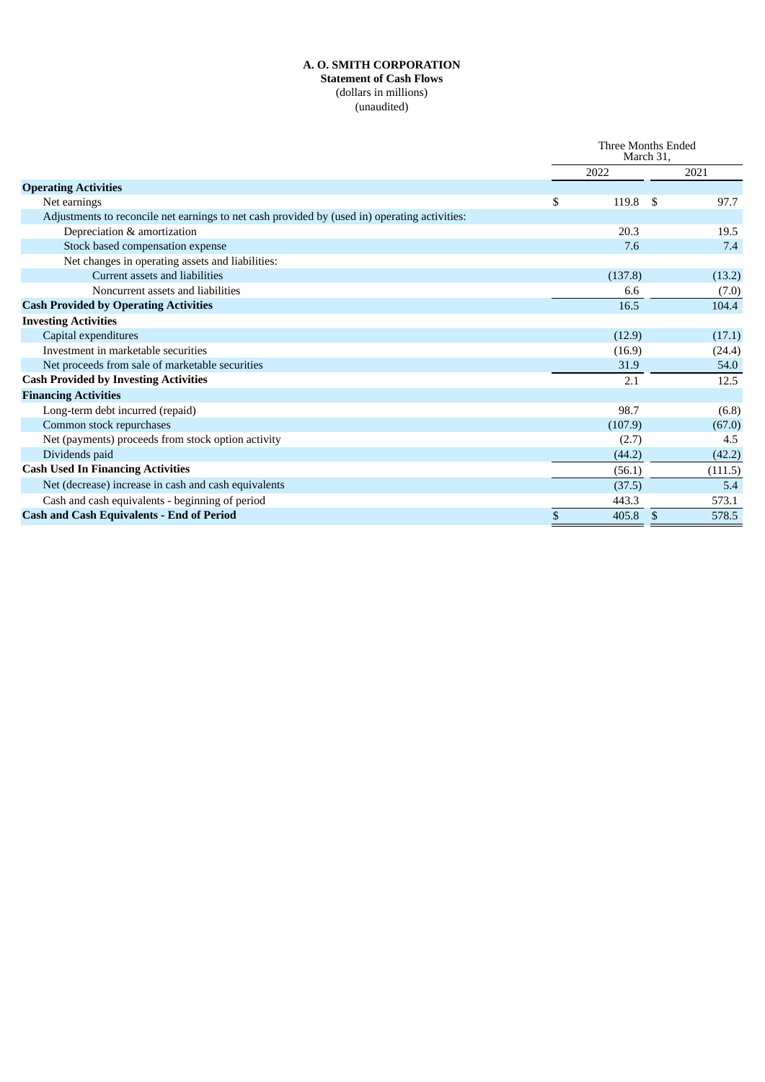#### **A. O. SMITH CORPORATION Statement of Cash Flows** (dollars in millions) (unaudited)

|                                                                                               | Three Months Ended<br>March 31, |         |               |         |
|-----------------------------------------------------------------------------------------------|---------------------------------|---------|---------------|---------|
|                                                                                               |                                 | 2022    |               | 2021    |
| <b>Operating Activities</b>                                                                   |                                 |         |               |         |
| Net earnings                                                                                  | \$                              | 119.8   | S             | 97.7    |
| Adjustments to reconcile net earnings to net cash provided by (used in) operating activities: |                                 |         |               |         |
| Depreciation & amortization                                                                   |                                 | 20.3    |               | 19.5    |
| Stock based compensation expense                                                              |                                 | 7.6     |               | 7.4     |
| Net changes in operating assets and liabilities:                                              |                                 |         |               |         |
| Current assets and liabilities                                                                |                                 | (137.8) |               | (13.2)  |
| Noncurrent assets and liabilities                                                             |                                 | 6.6     |               | (7.0)   |
| <b>Cash Provided by Operating Activities</b>                                                  |                                 | 16.5    |               | 104.4   |
| <b>Investing Activities</b>                                                                   |                                 |         |               |         |
| Capital expenditures                                                                          |                                 | (12.9)  |               | (17.1)  |
| Investment in marketable securities                                                           |                                 | (16.9)  |               | (24.4)  |
| Net proceeds from sale of marketable securities                                               |                                 | 31.9    |               | 54.0    |
| <b>Cash Provided by Investing Activities</b>                                                  |                                 | 2.1     |               | 12.5    |
| <b>Financing Activities</b>                                                                   |                                 |         |               |         |
| Long-term debt incurred (repaid)                                                              |                                 | 98.7    |               | (6.8)   |
| Common stock repurchases                                                                      |                                 | (107.9) |               | (67.0)  |
| Net (payments) proceeds from stock option activity                                            |                                 | (2.7)   |               | 4.5     |
| Dividends paid                                                                                |                                 | (44.2)  |               | (42.2)  |
| <b>Cash Used In Financing Activities</b>                                                      |                                 | (56.1)  |               | (111.5) |
| Net (decrease) increase in cash and cash equivalents                                          |                                 | (37.5)  |               | 5.4     |
| Cash and cash equivalents - beginning of period                                               |                                 | 443.3   |               | 573.1   |
| <b>Cash and Cash Equivalents - End of Period</b>                                              | \$                              | 405.8   | <sup>\$</sup> | 578.5   |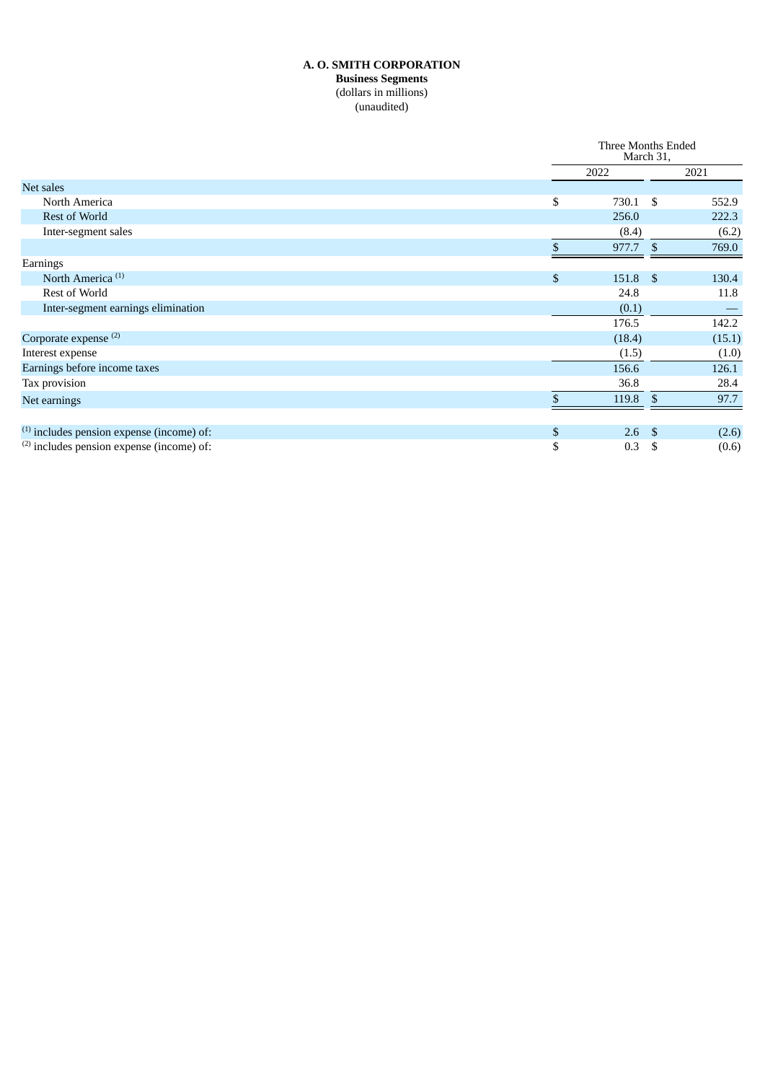#### **A. O. SMITH CORPORATION Business Segments** (dollars in millions) (unaudited)

|                                             |      | Three Months Ended<br>March 31, |               |        |
|---------------------------------------------|------|---------------------------------|---------------|--------|
|                                             | 2022 |                                 |               | 2021   |
| Net sales                                   |      |                                 |               |        |
| North America                               | \$   | 730.1                           | - \$          | 552.9  |
| Rest of World                               |      | 256.0                           |               | 222.3  |
| Inter-segment sales                         |      | (8.4)                           |               | (6.2)  |
|                                             |      | 977.7                           | <sup>\$</sup> | 769.0  |
| Earnings                                    |      |                                 |               |        |
| North America <sup>(1)</sup>                | \$   | 151.8                           | - \$          | 130.4  |
| Rest of World                               |      | 24.8                            |               | 11.8   |
| Inter-segment earnings elimination          |      | (0.1)                           |               |        |
|                                             |      | 176.5                           |               | 142.2  |
| Corporate expense <sup>(2)</sup>            |      | (18.4)                          |               | (15.1) |
| Interest expense                            |      | (1.5)                           |               | (1.0)  |
| Earnings before income taxes                |      | 156.6                           |               | 126.1  |
| Tax provision                               |      | 36.8                            |               | 28.4   |
| Net earnings                                | \$   | 119.8                           | \$            | 97.7   |
|                                             |      |                                 |               |        |
| $(1)$ includes pension expense (income) of: | \$   | 2.6                             | - \$          | (2.6)  |
| $(2)$ includes pension expense (income) of: | \$   | 0.3                             | -S            | (0.6)  |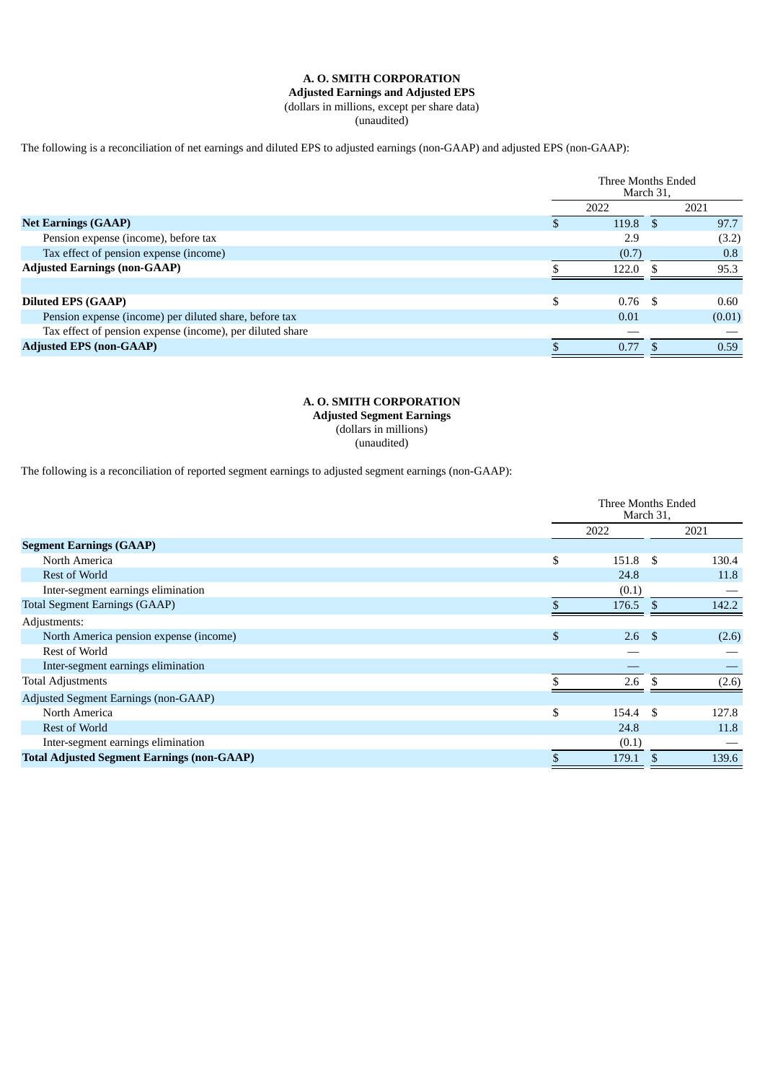#### **A. O. SMITH CORPORATION**

# **Adjusted Earnings and Adjusted EPS**

(dollars in millions, except per share data)

(unaudited)

#### The following is a reconciliation of net earnings and diluted EPS to adjusted earnings (non-GAAP) and adjusted EPS (non-GAAP):

|                                                           | Three Months Ended<br>March 31, |      |        |
|-----------------------------------------------------------|---------------------------------|------|--------|
|                                                           | 2022                            |      | 2021   |
| <b>Net Earnings (GAAP)</b>                                | 119.8                           |      | 97.7   |
| Pension expense (income), before tax                      | 2.9                             |      | (3.2)  |
| Tax effect of pension expense (income)                    | (0.7)                           |      | 0.8    |
| <b>Adjusted Earnings (non-GAAP)</b>                       | 122.0                           |      | 95.3   |
|                                                           |                                 |      |        |
| <b>Diluted EPS (GAAP)</b>                                 | \$<br>0.76                      | - \$ | 0.60   |
| Pension expense (income) per diluted share, before tax    | 0.01                            |      | (0.01) |
| Tax effect of pension expense (income), per diluted share |                                 |      |        |
| <b>Adjusted EPS (non-GAAP)</b>                            | 0.77                            |      | 0.59   |

#### **A. O. SMITH CORPORATION Adjusted Segment Earnings** (dollars in millions) (unaudited)

The following is a reconciliation of reported segment earnings to adjusted segment earnings (non-GAAP):

|                                                   | Three Months Ended<br>March 31, |              |       |
|---------------------------------------------------|---------------------------------|--------------|-------|
|                                                   | 2022                            |              | 2021  |
| <b>Segment Earnings (GAAP)</b>                    |                                 |              |       |
| North America                                     | \$<br>151.8                     | \$           | 130.4 |
| <b>Rest of World</b>                              | 24.8                            |              | 11.8  |
| Inter-segment earnings elimination                | (0.1)                           |              |       |
| <b>Total Segment Earnings (GAAP)</b>              | 176.5                           | $\mathbf{S}$ | 142.2 |
| Adjustments:                                      |                                 |              |       |
| North America pension expense (income)            | \$<br>2.6                       | - \$         | (2.6) |
| Rest of World                                     |                                 |              |       |
| Inter-segment earnings elimination                |                                 |              |       |
| <b>Total Adjustments</b>                          | 2.6                             | S.           | (2.6) |
| Adjusted Segment Earnings (non-GAAP)              |                                 |              |       |
| North America                                     | \$<br>154.4                     | -\$          | 127.8 |
| <b>Rest of World</b>                              | 24.8                            |              | 11.8  |
| Inter-segment earnings elimination                | (0.1)                           |              |       |
| <b>Total Adjusted Segment Earnings (non-GAAP)</b> | 179.1                           | \$           | 139.6 |